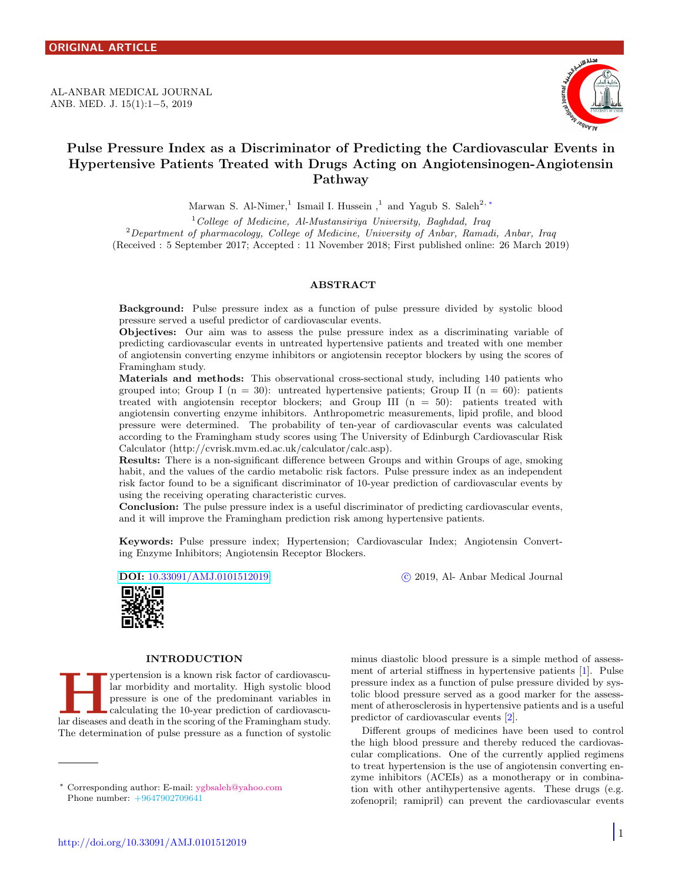<span id="page-0-1"></span>AL-ANBAR MEDICAL JOURNAL ANB. MED. J. 15(1):1−5, 2019



# Pulse Pressure Index as a Discriminator of Predicting the Cardiovascular Events in Hypertensive Patients Treated with Drugs Acting on Angiotensinogen-Angiotensin Pathway

Marwan S. Al-Nimer,<sup>1</sup> Ismail I. Hussein,<sup>1</sup> and Yagub S. Saleh<sup>2,\*</sup>

 $1^1$ College of Medicine, Al-Mustansiriya University, Baghdad, Iraq <sup>2</sup>Department of pharmacology, College of Medicine, University of Anbar, Ramadi, Anbar, Iraq (Received : 5 September 2017; Accepted : 11 November 2018; First published online: 26 March 2019)

# ABSTRACT

Background: Pulse pressure index as a function of pulse pressure divided by systolic blood pressure served a useful predictor of cardiovascular events.

Objectives: Our aim was to assess the pulse pressure index as a discriminating variable of predicting cardiovascular events in untreated hypertensive patients and treated with one member of angiotensin converting enzyme inhibitors or angiotensin receptor blockers by using the scores of Framingham study.

Materials and methods: This observational cross-sectional study, including 140 patients who grouped into; Group I ( $n = 30$ ): untreated hypertensive patients; Group II ( $n = 60$ ): patients treated with angiotensin receptor blockers; and Group III  $(n = 50)$ : patients treated with angiotensin converting enzyme inhibitors. Anthropometric measurements, lipid profile, and blood pressure were determined. The probability of ten-year of cardiovascular events was calculated according to the Framingham study scores using The University of Edinburgh Cardiovascular Risk Calculator (http://cvrisk.mvm.ed.ac.uk/calculator/calc.asp).

Results: There is a non-significant difference between Groups and within Groups of age, smoking habit, and the values of the cardio metabolic risk factors. Pulse pressure index as an independent risk factor found to be a significant discriminator of 10-year prediction of cardiovascular events by using the receiving operating characteristic curves.

Conclusion: The pulse pressure index is a useful discriminator of predicting cardiovascular events, and it will improve the Framingham prediction risk among hypertensive patients.

Keywords: Pulse pressure index; Hypertension; Cardiovascular Index; Angiotensin Converting Enzyme Inhibitors; Angiotensin Receptor Blockers.

DOI: [10.33091/AMJ.0101512019](http://dx.doi.org/10.33091/AMJ.0101512019) c 2019, Al- Anbar Medical Journal

minus diastolic blood pressure is a simple method of assessment of arterial stiffness in hypertensive patients [\[1\]](#page-4-0). Pulse pressure index as a function of pulse pressure divided by systolic blood pressure served as a good marker for the assessment of atherosclerosis in hypertensive patients and is a useful

Different groups of medicines have been used to control the high blood pressure and thereby reduced the cardiovascular complications. One of the currently applied regimens to treat hypertension is the use of angiotensin converting enzyme inhibitors (ACEIs) as a monotherapy or in combination with other antihypertensive agents. These drugs (e.g. zofenopril; ramipril) can prevent the cardiovascular events

predictor of cardiovascular events [\[2\]](#page-4-1).



## INTRODUCTION

Function is a known risk factor of cardiovascular morbidity and mortality. High systolic blood pressure is one of the predominant variables in calculating the 10-year prediction of cardiovascular diseases and death in the ypertension is a known risk factor of cardiovascular morbidity and mortality. High systolic blood pressure is one of the predominant variables in calculating the 10-year prediction of cardiovascu-The determination of pulse pressure as a function of systolic

<span id="page-0-0"></span><sup>∗</sup> Corresponding author: E-mail: [ygbsaleh@yahoo.com](mailto:ygbsaleh@yahoo.com \hskip 4.55em) Phone number: +9647902709641

http://doi.org/10.33091/AMJ.0101512019

 $\vert$  1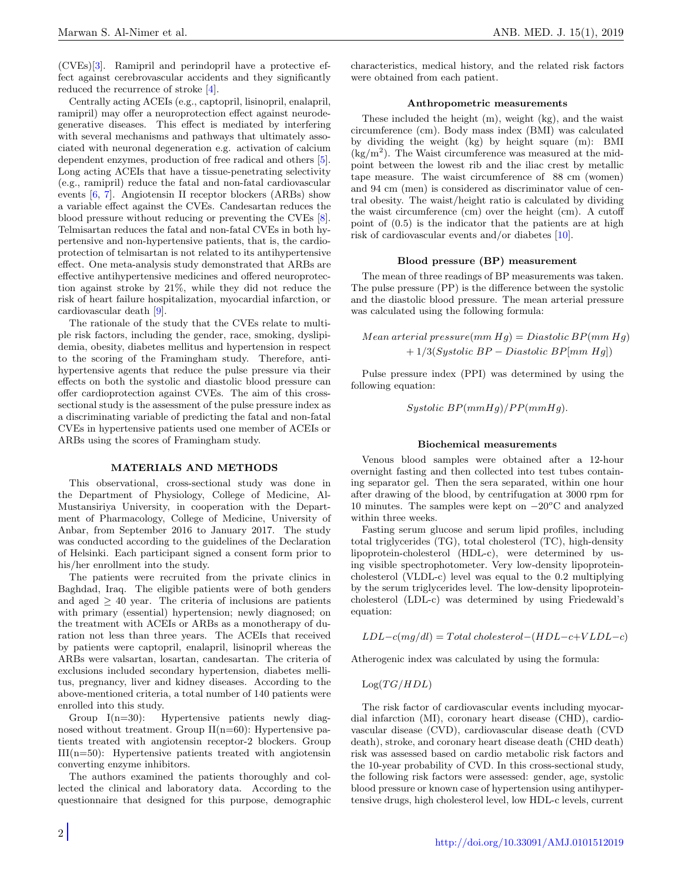(CVEs)[\[3\]](#page-4-2). Ramipril and perindopril have a protective effect against cerebrovascular accidents and they significantly reduced the recurrence of stroke [\[4\]](#page-4-3).

Centrally acting ACEIs (e.g., captopril, lisinopril, enalapril, ramipril) may offer a neuroprotection effect against neurodegenerative diseases. This effect is mediated by interfering with several mechanisms and pathways that ultimately associated with neuronal degeneration e.g. activation of calcium dependent enzymes, production of free radical and others [\[5\]](#page-4-4). Long acting ACEIs that have a tissue-penetrating selectivity (e.g., ramipril) reduce the fatal and non-fatal cardiovascular events [\[6,](#page-4-5) [7\]](#page-4-6). Angiotensin II receptor blockers (ARBs) show a variable effect against the CVEs. Candesartan reduces the blood pressure without reducing or preventing the CVEs [\[8\]](#page-4-7). Telmisartan reduces the fatal and non-fatal CVEs in both hypertensive and non-hypertensive patients, that is, the cardioprotection of telmisartan is not related to its antihypertensive effect. One meta-analysis study demonstrated that ARBs are effective antihypertensive medicines and offered neuroprotection against stroke by 21%, while they did not reduce the risk of heart failure hospitalization, myocardial infarction, or cardiovascular death [\[9\]](#page-4-8).

The rationale of the study that the CVEs relate to multiple risk factors, including the gender, race, smoking, dyslipidemia, obesity, diabetes mellitus and hypertension in respect to the scoring of the Framingham study. Therefore, antihypertensive agents that reduce the pulse pressure via their effects on both the systolic and diastolic blood pressure can offer cardioprotection against CVEs. The aim of this crosssectional study is the assessment of the pulse pressure index as a discriminating variable of predicting the fatal and non-fatal CVEs in hypertensive patients used one member of ACEIs or ARBs using the scores of Framingham study.

## MATERIALS AND METHODS

This observational, cross-sectional study was done in the Department of Physiology, College of Medicine, Al-Mustansiriya University, in cooperation with the Department of Pharmacology, College of Medicine, University of Anbar, from September 2016 to January 2017. The study was conducted according to the guidelines of the Declaration of Helsinki. Each participant signed a consent form prior to his/her enrollment into the study.

The patients were recruited from the private clinics in Baghdad, Iraq. The eligible patients were of both genders and aged  $\geq$  40 year. The criteria of inclusions are patients with primary (essential) hypertension; newly diagnosed; on the treatment with ACEIs or ARBs as a monotherapy of duration not less than three years. The ACEIs that received by patients were captopril, enalapril, lisinopril whereas the ARBs were valsartan, losartan, candesartan. The criteria of exclusions included secondary hypertension, diabetes mellitus, pregnancy, liver and kidney diseases. According to the above-mentioned criteria, a total number of 140 patients were enrolled into this study.

Group I(n=30): Hypertensive patients newly diagnosed without treatment. Group  $II(n=60)$ : Hypertensive patients treated with angiotensin receptor-2 blockers. Group III(n=50): Hypertensive patients treated with angiotensin converting enzyme inhibitors.

The authors examined the patients thoroughly and collected the clinical and laboratory data. According to the questionnaire that designed for this purpose, demographic characteristics, medical history, and the related risk factors were obtained from each patient.

#### Anthropometric measurements

These included the height (m), weight (kg), and the waist circumference (cm). Body mass index (BMI) was calculated by dividing the weight (kg) by height square (m): BMI  $(kg/m<sup>2</sup>)$ . The Waist circumference was measured at the midpoint between the lowest rib and the iliac crest by metallic tape measure. The waist circumference of 88 cm (women) and 94 cm (men) is considered as discriminator value of central obesity. The waist/height ratio is calculated by dividing the waist circumference (cm) over the height (cm). A cutoff point of (0.5) is the indicator that the patients are at high risk of cardiovascular events and/or diabetes [\[10\]](#page-4-9).

# Blood pressure (BP) measurement

The mean of three readings of BP measurements was taken. The pulse pressure (PP) is the difference between the systolic and the diastolic blood pressure. The mean arterial pressure was calculated using the following formula:

 $Mean \, vertical \, pressure(mm \, Hg) = Diastolic \, BP(mm \, Hg)$  $+ 1/3(Systolic BP - Diastolic BP[mm Hq])$ 

Pulse pressure index (PPI) was determined by using the following equation:

Systolic  $BP(mmHg)/PP(mmHg)$ .

#### Biochemical measurements

Venous blood samples were obtained after a 12-hour overnight fasting and then collected into test tubes containing separator gel. Then the sera separated, within one hour after drawing of the blood, by centrifugation at 3000 rpm for 10 minutes. The samples were kept on  $-20^{\circ}$ C and analyzed within three weeks.

Fasting serum glucose and serum lipid profiles, including total triglycerides (TG), total cholesterol (TC), high-density lipoprotein-cholesterol (HDL-c), were determined by using visible spectrophotometer. Very low-density lipoproteincholesterol (VLDL-c) level was equal to the 0.2 multiplying by the serum triglycerides level. The low-density lipoproteincholesterol (LDL-c) was determined by using Friedewald's equation:

$$
LDL-c(mg/dl) = Total \ cholesterol-(HDL-c+VLDL-c)
$$

Atherogenic index was calculated by using the formula:

$$
\mathrm{Log}(TG/HDL)
$$

The risk factor of cardiovascular events including myocardial infarction (MI), coronary heart disease (CHD), cardiovascular disease (CVD), cardiovascular disease death (CVD death), stroke, and coronary heart disease death (CHD death) risk was assessed based on cardio metabolic risk factors and the 10-year probability of CVD. In this cross-sectional study, the following risk factors were assessed: gender, age, systolic blood pressure or known case of hypertension using antihypertensive drugs, high cholesterol level, low HDL-c levels, current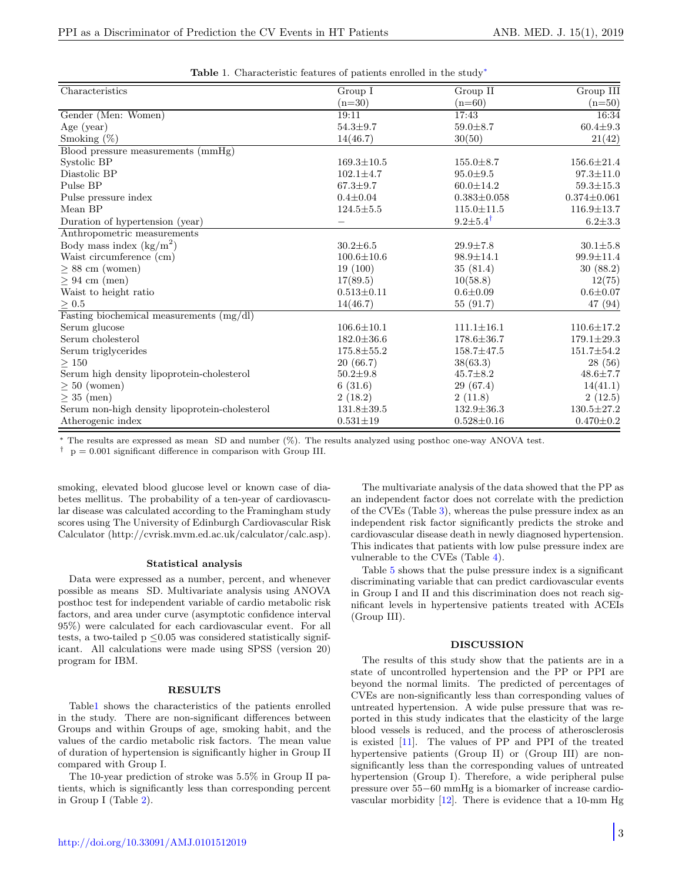|  |  | Table 1. Characteristic features of patients enrolled in the study* |
|--|--|---------------------------------------------------------------------|
|--|--|---------------------------------------------------------------------|

<span id="page-2-0"></span>

| Characteristics                                | Group I                  | Group II                | Group III         |
|------------------------------------------------|--------------------------|-------------------------|-------------------|
|                                                | $(n=30)$                 | $(n=60)$                | $(n=50)$          |
| Gender (Men: Women)                            | 19:11                    | 17:43                   | 16:34             |
| Age $(year)$                                   | $54.3 \pm 9.7$           | $59.0 \pm 8.7$          | $60.4 \pm 9.3$    |
| Smoking $(\%)$                                 | 14(46.7)                 | 30(50)                  | 21(42)            |
| Blood pressure measurements (mmHg)             |                          |                         |                   |
| Systolic BP                                    | $169.3 \pm 10.5$         | $155.0 \pm 8.7$         | $156.6 \pm 21.4$  |
| Diastolic BP                                   | $102.1 \pm 4.7$          | $95.0 \pm 9.5$          | $97.3{\pm}11.0$   |
| Pulse BP                                       | $67.3 \pm 9.7$           | $60.0 \pm 14.2$         | $59.3 \pm 15.3$   |
| Pulse pressure index                           | $0.4 \pm 0.04$           | $0.383 \pm 0.058$       | $0.374 \pm 0.061$ |
| Mean BP                                        | $124.5 \pm 5.5$          | $115.0 \pm 11.5$        | $116.9 \pm 13.7$  |
| Duration of hypertension (year)                | $\overline{\phantom{0}}$ | $9.2 \pm 5.4^{\dagger}$ | $6.2 \pm 3.3$     |
| Anthropometric measurements                    |                          |                         |                   |
| Body mass index $(kg/m^2)$                     | $30.2 \pm 6.5$           | $29.9 \pm 7.8$          | $30.1 + 5.8$      |
| Waist circumference (cm)                       | $100.6 \pm 10.6$         | $98.9 \pm 14.1$         | $99.9 \pm 11.4$   |
| $\geq 88$ cm (women)                           | 19(100)                  | 35(81.4)                | 30(88.2)          |
| $\geq 94$ cm (men)                             | 17(89.5)                 | 10(58.8)                | 12(75)            |
| Waist to height ratio                          | $0.513 \pm 0.11$         | $0.6 \pm 0.09$          | $0.6 \pm 0.07$    |
| $\geq 0.5$                                     | 14(46.7)                 | 55(91.7)                | 47 (94)           |
| Fasting biochemical measurements $(mg/dl)$     |                          |                         |                   |
| Serum glucose                                  | $106.6 \pm 10.1$         | $111.1 \pm 16.1$        | $110.6 \pm 17.2$  |
| Serum cholesterol                              | $182.0 \pm 36.6$         | $178.6 \pm 36.7$        | $179.1 \pm 29.3$  |
| Serum triglycerides                            | $175.8 \pm 55.2$         | $158.7 \pm 47.5$        | $151.7 \pm 54.2$  |
| $\geq$ 150                                     | 20(66.7)                 | 38(63.3)                | 28(56)            |
| Serum high density lipoprotein-cholesterol     | $50.2 \pm 9.8$           | $45.7 \pm 8.2$          | $48.6 \pm 7.7$    |
| $\geq 50$ (women)                              | 6(31.6)                  | 29(67.4)                | 14(41.1)          |
| $\geq$ 35 (men)                                | 2(18.2)                  | 2(11.8)                 | 2(12.5)           |
| Serum non-high density lipoprotein-cholesterol | $131.8 \pm 39.5$         | $132.9 \pm 36.3$        | $130.5 \pm 27.2$  |
| Atherogenic index                              | $0.531 \pm 19$           | $0.528 \pm 0.16$        | $0.470 \pm 0.2$   |

<sup>∗</sup> The results are expressed as mean SD and number (%). The results analyzed using posthoc one-way ANOVA test.

 $^\dagger$   $\,$  p  $=$  0.001 significant difference in comparison with Group III.

smoking, elevated blood glucose level or known case of diabetes mellitus. The probability of a ten-year of cardiovascular disease was calculated according to the Framingham study scores using The University of Edinburgh Cardiovascular Risk Calculator (http://cvrisk.mvm.ed.ac.uk/calculator/calc.asp).

#### Statistical analysis

Data were expressed as a number, percent, and whenever possible as means SD. Multivariate analysis using ANOVA posthoc test for independent variable of cardio metabolic risk factors, and area under curve (asymptotic confidence interval 95%) were calculated for each cardiovascular event. For all tests, a two-tailed  $p \leq 0.05$  was considered statistically significant. All calculations were made using SPSS (version 20) program for IBM.

## RESULTS

Tabl[e1](#page-2-0) shows the characteristics of the patients enrolled in the study. There are non-significant differences between Groups and within Groups of age, smoking habit, and the values of the cardio metabolic risk factors. The mean value of duration of hypertension is significantly higher in Group II compared with Group I.

The 10-year prediction of stroke was 5.5% in Group II patients, which is significantly less than corresponding percent in Group I (Table [2\)](#page-3-0).

http://doi.org/10.33091/AMJ.0101512019

The multivariate analysis of the data showed that the PP as an independent factor does not correlate with the prediction of the CVEs (Table [3\)](#page-3-1), whereas the pulse pressure index as an independent risk factor significantly predicts the stroke and cardiovascular disease death in newly diagnosed hypertension. This indicates that patients with low pulse pressure index are vulnerable to the CVEs (Table [4\)](#page-3-2).

Table [5](#page-3-3) shows that the pulse pressure index is a significant discriminating variable that can predict cardiovascular events in Group I and II and this discrimination does not reach significant levels in hypertensive patients treated with ACEIs (Group III).

# DISCUSSION

The results of this study show that the patients are in a state of uncontrolled hypertension and the PP or PPI are beyond the normal limits. The predicted of percentages of CVEs are non-significantly less than corresponding values of untreated hypertension. A wide pulse pressure that was reported in this study indicates that the elasticity of the large blood vessels is reduced, and the process of atherosclerosis is existed [\[11\]](#page-4-10). The values of PP and PPI of the treated hypertensive patients (Group II) or (Group III) are nonsignificantly less than the corresponding values of untreated hypertension (Group I). Therefore, a wide peripheral pulse pressure over 55−60 mmHg is a biomarker of increase cardiovascular morbidity [\[12\]](#page-4-11). There is evidence that a 10-mm Hg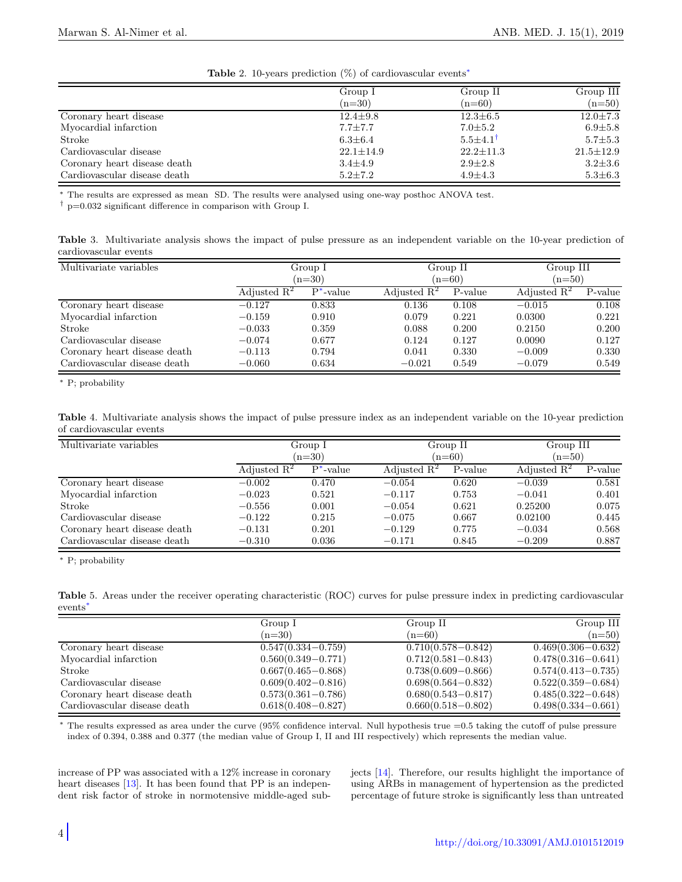<span id="page-3-0"></span>

| $\frac{1}{2}$ and $\frac{1}{2}$ and $\frac{1}{2}$ and $\frac{1}{2}$ are $\frac{1}{2}$ and $\frac{1}{2}$ are $\frac{1}{2}$ and $\frac{1}{2}$ are $\frac{1}{2}$ and $\frac{1}{2}$ are $\frac{1}{2}$ and $\frac{1}{2}$ are $\frac{1}{2}$ and $\frac{1}{2}$ are $\frac{1}{2}$ and $\frac{1}{2}$ a |                 |                         |                 |  |
|-----------------------------------------------------------------------------------------------------------------------------------------------------------------------------------------------------------------------------------------------------------------------------------------------|-----------------|-------------------------|-----------------|--|
|                                                                                                                                                                                                                                                                                               | Group I         | Group II                | Group III       |  |
|                                                                                                                                                                                                                                                                                               | $(n=30)$        | $(n=60)$                | $(n=50)$        |  |
| Coronary heart disease                                                                                                                                                                                                                                                                        | $12.4 \pm 9.8$  | $12.3 \pm 6.5$          | $12.0 \pm 7.3$  |  |
| Myocardial infarction                                                                                                                                                                                                                                                                         | $7.7 \pm 7.7$   | $7.0 \pm 5.2$           | $6.9{\pm}5.8$   |  |
| Stroke                                                                                                                                                                                                                                                                                        | $6.3 \pm 6.4$   | $5.5 \pm 4.1^{\dagger}$ | $5.7 \pm 5.3$   |  |
| Cardiovascular disease                                                                                                                                                                                                                                                                        | $22.1 \pm 14.9$ | $22.2 \pm 11.3$         | $21.5 \pm 12.9$ |  |
| Coronary heart disease death                                                                                                                                                                                                                                                                  | $3.4 \pm 4.9$   | $2.9 \pm 2.8$           | $3.2 \pm 3.6$   |  |
| Cardiovascular disease death                                                                                                                                                                                                                                                                  | $5.2 \pm 7.2$   | $4.9{\pm}4.3$           | $5.3 \pm 6.3$   |  |

Table 2. 10-years prediction  $(\%)$  of cardiovascular events<sup>\*</sup>

<sup>∗</sup> The results are expressed as mean SD. The results were analysed using one-way posthoc ANOVA test.

 $\dagger$  p=0.032 significant difference in comparison with Group I.

<span id="page-3-1"></span>Table 3. Multivariate analysis shows the impact of pulse pressure as an independent variable on the 10-year prediction of cardiovascular events

| Multivariate variables       |                | Group I<br>$(n=30)$ |                | Group II<br>$(n=60)$ |                | Group III<br>$(n=50)$ |  |
|------------------------------|----------------|---------------------|----------------|----------------------|----------------|-----------------------|--|
|                              | Adjusted $R^2$ | $P^*$ -value        | Adjusted $R^2$ | P-value              | Adjusted $R^2$ | P-value               |  |
| Coronary heart disease       | $-0.127$       | 0.833               | 0.136          | 0.108                | $-0.015$       | 0.108                 |  |
| Myocardial infarction        | $-0.159$       | 0.910               | 0.079          | 0.221                | 0.0300         | 0.221                 |  |
| Stroke                       | $-0.033$       | 0.359               | 0.088          | 0.200                | 0.2150         | 0.200                 |  |
| Cardiovascular disease       | $-0.074$       | 0.677               | 0.124          | 0.127                | 0.0090         | 0.127                 |  |
| Coronary heart disease death | $-0.113$       | 0.794               | 0.041          | 0.330                | $-0.009$       | 0.330                 |  |
| Cardiovascular disease death | $-0.060$       | 0.634               | $-0.021$       | 0.549                | $-0.079$       | 0.549                 |  |

<sup>∗</sup> P; probability

<span id="page-3-2"></span>Table 4. Multivariate analysis shows the impact of pulse pressure index as an independent variable on the 10-year prediction of cardiovascular events

| Multivariate variables       |                | Group I      |                | Group II |                | Group III |  |
|------------------------------|----------------|--------------|----------------|----------|----------------|-----------|--|
|                              |                | $(n=30)$     |                | $(n=60)$ |                | $(n=50)$  |  |
|                              | Adjusted $R^2$ | $P^*$ -value | Adjusted $R^2$ | P-value  | Adjusted $R^2$ | P-value   |  |
| Coronary heart disease       | $-0.002$       | 0.470        | $-0.054$       | 0.620    | $-0.039$       | 0.581     |  |
| Myocardial infarction        | $-0.023$       | 0.521        | $-0.117$       | 0.753    | $-0.041$       | 0.401     |  |
| Stroke                       | $-0.556$       | 0.001        | $-0.054$       | 0.621    | 0.25200        | 0.075     |  |
| Cardiovascular disease       | $-0.122$       | 0.215        | $-0.075$       | 0.667    | 0.02100        | 0.445     |  |
| Coronary heart disease death | $-0.131$       | 0.201        | $-0.129$       | 0.775    | $-0.034$       | 0.568     |  |
| Cardiovascular disease death | $-0.310$       | 0.036        | $-0.171$       | 0.845    | $-0.209$       | 0.887     |  |

<sup>∗</sup> P; probability

<span id="page-3-3"></span>Table 5. Areas under the receiver operating characteristic (ROC) curves for pulse pressure index in predicting cardiovascular events[∗](#page-0-1)

|                              | Group I                | Group II               | Group III              |
|------------------------------|------------------------|------------------------|------------------------|
|                              | $(n=30)$               | $(n=60)$               | $(n=50)$               |
| Coronary heart disease       | $0.547(0.334 - 0.759)$ | $0.710(0.578 - 0.842)$ | $0.469(0.306 - 0.632)$ |
| Myocardial infarction        | $0.560(0.349 - 0.771)$ | $0.712(0.581 - 0.843)$ | $0.478(0.316 - 0.641)$ |
| Stroke                       | $0.667(0.465 - 0.868)$ | $0.738(0.609 - 0.866)$ | $0.574(0.413 - 0.735)$ |
| Cardiovascular disease       | $0.609(0.402 - 0.816)$ | $0.698(0.564 - 0.832)$ | $0.522(0.359 - 0.684)$ |
| Coronary heart disease death | $0.573(0.361 - 0.786)$ | $0.680(0.543 - 0.817)$ | $0.485(0.322 - 0.648)$ |
| Cardiovascular disease death | $0.618(0.408 - 0.827)$ | $0.660(0.518 - 0.802)$ | $0.498(0.334 - 0.661)$ |

<sup>∗</sup> The results expressed as area under the curve (95% confidence interval. Null hypothesis true =0.5 taking the cutoff of pulse pressure index of 0.394, 0.388 and 0.377 (the median value of Group I, II and III respectively) which represents the median value.

increase of PP was associated with a 12% increase in coronary heart diseases [\[13\]](#page-4-12). It has been found that PP is an independent risk factor of stroke in normotensive middle-aged subjects [\[14\]](#page-4-13). Therefore, our results highlight the importance of using ARBs in management of hypertension as the predicted percentage of future stroke is significantly less than untreated